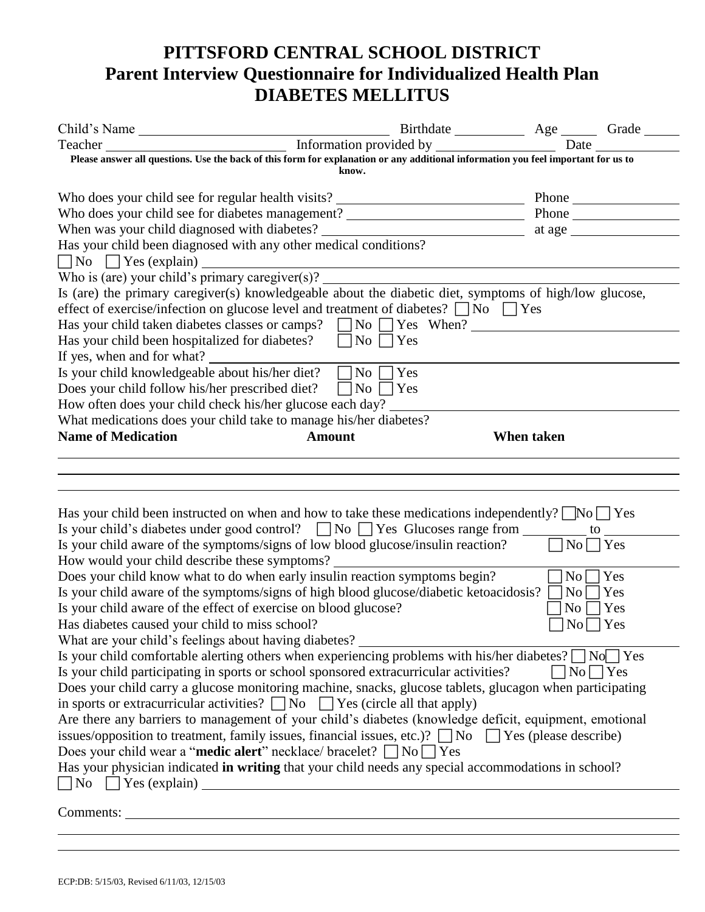## **PITTSFORD CENTRAL SCHOOL DISTRICT Parent Interview Questionnaire for Individualized Health Plan DIABETES MELLITUS**

|                                                                                                                                                                                                                        |               | Date                      |  |  |  |  |
|------------------------------------------------------------------------------------------------------------------------------------------------------------------------------------------------------------------------|---------------|---------------------------|--|--|--|--|
| Please answer all questions. Use the back of this form for explanation or any additional information you feel important for us to                                                                                      |               |                           |  |  |  |  |
|                                                                                                                                                                                                                        | know.         |                           |  |  |  |  |
| Who does your child see for regular health visits? ______________________________                                                                                                                                      |               | Phone $\_\_$              |  |  |  |  |
| Who does your child see for diabetes management? _______________________________                                                                                                                                       |               | Phone                     |  |  |  |  |
| When was your child diagnosed with diabetes? ___________________________________                                                                                                                                       |               | at age $\frac{ }{ }$      |  |  |  |  |
| Has your child been diagnosed with any other medical conditions?                                                                                                                                                       |               |                           |  |  |  |  |
|                                                                                                                                                                                                                        |               |                           |  |  |  |  |
| No S Yes (explain)<br>Who is (are) your child's primary caregiver(s)?                                                                                                                                                  |               |                           |  |  |  |  |
| Is (are) the primary caregiver(s) knowledgeable about the diabetic diet, symptoms of high/low glucose,                                                                                                                 |               |                           |  |  |  |  |
| effect of exercise/infection on glucose level and treatment of diabetes? $\Box$ No $\Box$ Yes                                                                                                                          |               |                           |  |  |  |  |
| Has your child taken diabetes classes or camps? $\Box$ No $\Box$ Yes When?                                                                                                                                             |               |                           |  |  |  |  |
| Has your child been hospitalized for diabetes? $\Box$ No $\Box$ Yes                                                                                                                                                    |               |                           |  |  |  |  |
| If yes, when and for what?                                                                                                                                                                                             |               |                           |  |  |  |  |
| Is your child knowledgeable about his/her diet? $\Box$ No $\Box$ Yes                                                                                                                                                   |               |                           |  |  |  |  |
| Does your child follow his/her prescribed diet?<br>   No    <br>Yes                                                                                                                                                    |               |                           |  |  |  |  |
| How often does your child check his/her glucose each day?                                                                                                                                                              |               |                           |  |  |  |  |
| What medications does your child take to manage his/her diabetes?                                                                                                                                                      |               |                           |  |  |  |  |
| <b>Name of Medication</b>                                                                                                                                                                                              | <b>Amount</b> | When taken                |  |  |  |  |
|                                                                                                                                                                                                                        |               |                           |  |  |  |  |
|                                                                                                                                                                                                                        |               |                           |  |  |  |  |
|                                                                                                                                                                                                                        |               |                           |  |  |  |  |
|                                                                                                                                                                                                                        |               |                           |  |  |  |  |
| Has your child been instructed on when and how to take these medications independently? $\Box$ No $\Box$ Yes<br>Is your child's diabetes under good control? $\Box$ No $\Box$ Yes Glucoses range from $\Box$ to $\Box$ |               |                           |  |  |  |  |
| Is your child aware of the symptoms/signs of low blood glucose/insulin reaction?                                                                                                                                       |               | $No \bigcap Yes$          |  |  |  |  |
| How would your child describe these symptoms?                                                                                                                                                                          |               |                           |  |  |  |  |
| Does your child know what to do when early insulin reaction symptoms begin?                                                                                                                                            |               | Yes<br>$\overline{N_{0}}$ |  |  |  |  |
|                                                                                                                                                                                                                        |               | $\vert$ No $\vert$   Yes  |  |  |  |  |
| Is your child aware of the symptoms/signs of high blood glucose/diabetic ketoacidosis? [<br>Is your child aware of the effect of exercise on blood glucose?<br>$\rm{No}$<br>$\bigcap$ Yes                              |               |                           |  |  |  |  |
| Has diabetes caused your child to miss school?<br>N <sub>0</sub><br>Yes                                                                                                                                                |               |                           |  |  |  |  |
| What are your child's feelings about having diabetes? ________                                                                                                                                                         |               |                           |  |  |  |  |
| Is your child comfortable alerting others when experiencing problems with his/her diabetes? $\Box$ No $\Box$ Yes                                                                                                       |               |                           |  |  |  |  |
| Is your child participating in sports or school sponsored extracurricular activities?<br>$ No $   Yes                                                                                                                  |               |                           |  |  |  |  |
| Does your child carry a glucose monitoring machine, snacks, glucose tablets, glucagon when participating                                                                                                               |               |                           |  |  |  |  |
| in sports or extracurricular activities? $\Box$ No $\Box$ Yes (circle all that apply)                                                                                                                                  |               |                           |  |  |  |  |
| Are there any barriers to management of your child's diabetes (knowledge deficit, equipment, emotional                                                                                                                 |               |                           |  |  |  |  |
| issues/opposition to treatment, family issues, financial issues, etc.)? $\Box$ No $\Box$ Yes (please describe)                                                                                                         |               |                           |  |  |  |  |
| Does your child wear a " <b>medic alert</b> " necklace/ bracelet? $\Box$ No $\Box$ Yes                                                                                                                                 |               |                           |  |  |  |  |
| Has your physician indicated in writing that your child needs any special accommodations in school?                                                                                                                    |               |                           |  |  |  |  |
| $\n  No Yes (explain) ________$                                                                                                                                                                                        |               |                           |  |  |  |  |
|                                                                                                                                                                                                                        |               |                           |  |  |  |  |
| Comments:                                                                                                                                                                                                              |               |                           |  |  |  |  |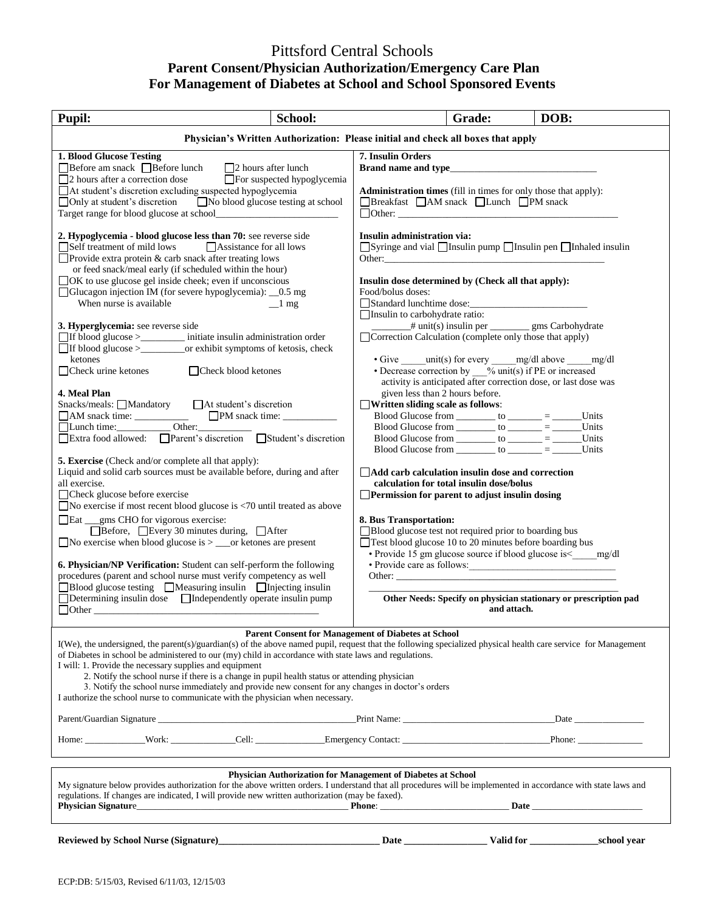## Pittsford Central Schools **Parent Consent/Physician Authorization/Emergency Care Plan For Management of Diabetes at School and School Sponsored Events**

| <b>Pupil:</b>                                                                                                                                                                                                                                                                                                                                                                                                                                                                                                                                                                                                                                                                                                                                                                                                                           | School:                     |                                                                                                                                                                                                                                                                                                                         | Grade:                                                                                                                                                                                                                                                                                                                                                                                                             | DOB:                                                                                                                                                        |  |  |
|-----------------------------------------------------------------------------------------------------------------------------------------------------------------------------------------------------------------------------------------------------------------------------------------------------------------------------------------------------------------------------------------------------------------------------------------------------------------------------------------------------------------------------------------------------------------------------------------------------------------------------------------------------------------------------------------------------------------------------------------------------------------------------------------------------------------------------------------|-----------------------------|-------------------------------------------------------------------------------------------------------------------------------------------------------------------------------------------------------------------------------------------------------------------------------------------------------------------------|--------------------------------------------------------------------------------------------------------------------------------------------------------------------------------------------------------------------------------------------------------------------------------------------------------------------------------------------------------------------------------------------------------------------|-------------------------------------------------------------------------------------------------------------------------------------------------------------|--|--|
| Physician's Written Authorization: Please initial and check all boxes that apply                                                                                                                                                                                                                                                                                                                                                                                                                                                                                                                                                                                                                                                                                                                                                        |                             |                                                                                                                                                                                                                                                                                                                         |                                                                                                                                                                                                                                                                                                                                                                                                                    |                                                                                                                                                             |  |  |
| <b>1. Blood Glucose Testing</b><br>$\Box$ Before am snack $\Box$ Before lunch<br>$\Box$ 2 hours after lunch<br>$\Box$ 2 hours after a correction dose<br>□ At student's discretion excluding suspected hypoglycemia<br>□ Only at student's discretion □ No blood glucose testing at school                                                                                                                                                                                                                                                                                                                                                                                                                                                                                                                                              | □For suspected hypoglycemia | 7. Insulin Orders<br>Administration times (fill in times for only those that apply):<br>□Breakfast □AM snack □Lunch □PM snack<br>$\Box$ Other:                                                                                                                                                                          |                                                                                                                                                                                                                                                                                                                                                                                                                    |                                                                                                                                                             |  |  |
| 2. Hypoglycemia - blood glucose less than 70: see reverse side<br>$\Box$ Self treatment of mild lows<br>$\Box$ Assistance for all lows<br>$\Box$ Provide extra protein & carb snack after treating lows<br>or feed snack/meal early (if scheduled within the hour)<br>□OK to use glucose gel inside cheek; even if unconscious<br>□ Glucagon injection IM (for severe hypoglycemia): _0.5 mg<br>When nurse is available<br>3. Hyperglycemia: see reverse side<br>□If blood glucose ><br><u> </u> initiate insulin administration order<br>□If blood glucose > _______________or exhibit symptoms of ketosis, check<br>ketones<br>$\Box$ Check urine ketones<br>□ Check blood ketones<br>4. Meal Plan<br>Snacks/meals: ■Mandatory ■ △ At student's discretion<br>□Lunch time: Other:                                                     | $\perp$ mg                  | Insulin administration via:<br>Insulin dose determined by (Check all that apply):<br>Food/bolus doses:<br>Standard lunchtime dose:<br>$\Box$ Insulin to carbohydrate ratio:<br>□ Correction Calculation (complete only those that apply)<br>given less than 2 hours before.<br>$\Box$ Written sliding scale as follows: | <sup>#</sup> unit(s) insulin per ___________ gms Carbohydrate<br>• Give $unit(s)$ for every $mg/dl$ above $mg/dl$<br>• Decrease correction by $\frac{9}{2}$ unit(s) if PE or increased<br>activity is anticipated after correction dose, or last dose was<br>Blood Glucose from __________ to _______ = ______Units<br>Blood Glucose from __________ to _______ = _______                                          | □ Syringe and vial □ Insulin pump □ Insulin pen □ Inhaled insulin<br>Units                                                                                  |  |  |
| □ Extra food allowed: □ Parent's discretion □ Student's discretion<br><b>5. Exercise</b> (Check and/or complete all that apply):<br>Liquid and solid carb sources must be available before, during and after<br>all exercise.<br>$\Box$ Check glucose before exercise<br>$\Box$ No exercise if most recent blood glucose is <70 until treated as above<br>□Eat _gms CHO for vigorous exercise:<br>□ Before, □ Every 30 minutes during, □ After<br>$\Box$ No exercise when blood glucose is $>$ $\Box$ or ketones are present<br>6. Physician/NP Verification: Student can self-perform the following<br>procedures (parent and school nurse must verify competency as well<br>□Blood glucose testing □Measuring insulin □Injecting insulin<br>$\Box$ Determining insulin dose $\Box$ Independently operate insulin pump<br>$\Box$ Other |                             | <b>Add carb calculation insulin dose and correction</b><br><b>Permission for parent to adjust insulin dosing</b><br>8. Bus Transportation:<br>□ Blood glucose test not required prior to boarding bus<br>$\Box$ Test blood glucose 10 to 20 minutes before boarding bus                                                 | Blood Glucose from ___________ to _______ = _________ Units<br>Blood Glucose from __________ to ______ = _______Units<br>calculation for total insulin dose/bolus<br>Other: experience of the contract of the contract of the contract of the contract of the contract of the contract of the contract of the contract of the contract of the contract of the contract of the contract of the contr<br>and attach. | • Provide 15 gm glucose source if blood glucose is< mg/dl<br>• Provide care as follows:<br>Other Needs: Specify on physician stationary or prescription pad |  |  |
| <b>Parent Consent for Management of Diabetes at School</b><br>I(We), the undersigned, the parent(s)/guardian(s) of the above named pupil, request that the following specialized physical health care service for Management<br>of Diabetes in school be administered to our (my) child in accordance with state laws and regulations.<br>I will: 1. Provide the necessary supplies and equipment<br>2. Notify the school nurse if there is a change in pupil health status or attending physician<br>3. Notify the school nurse immediately and provide new consent for any changes in doctor's orders<br>I authorize the school nurse to communicate with the physician when necessary.<br>Home: Work: Work: Cell: Cell: Emergency Contact: Contact: Phone: Phone:                                                                    |                             |                                                                                                                                                                                                                                                                                                                         |                                                                                                                                                                                                                                                                                                                                                                                                                    |                                                                                                                                                             |  |  |
|                                                                                                                                                                                                                                                                                                                                                                                                                                                                                                                                                                                                                                                                                                                                                                                                                                         |                             |                                                                                                                                                                                                                                                                                                                         |                                                                                                                                                                                                                                                                                                                                                                                                                    |                                                                                                                                                             |  |  |
| Physician Authorization for Management of Diabetes at School<br>My signature below provides authorization for the above written orders. I understand that all procedures will be implemented in accordance with state laws and<br>regulations. If changes are indicated, I will provide new written authorization (may be faxed).                                                                                                                                                                                                                                                                                                                                                                                                                                                                                                       |                             |                                                                                                                                                                                                                                                                                                                         |                                                                                                                                                                                                                                                                                                                                                                                                                    |                                                                                                                                                             |  |  |
|                                                                                                                                                                                                                                                                                                                                                                                                                                                                                                                                                                                                                                                                                                                                                                                                                                         |                             |                                                                                                                                                                                                                                                                                                                         |                                                                                                                                                                                                                                                                                                                                                                                                                    | _school year                                                                                                                                                |  |  |